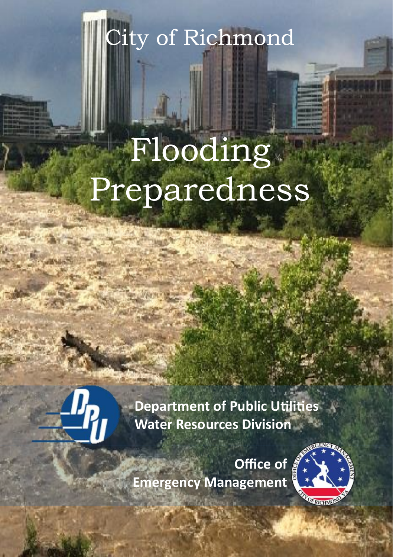City of Richmond

# Flooding Preparedness



**Department of Public Utilities Water Resources Division**

**Office of Emergency Management**

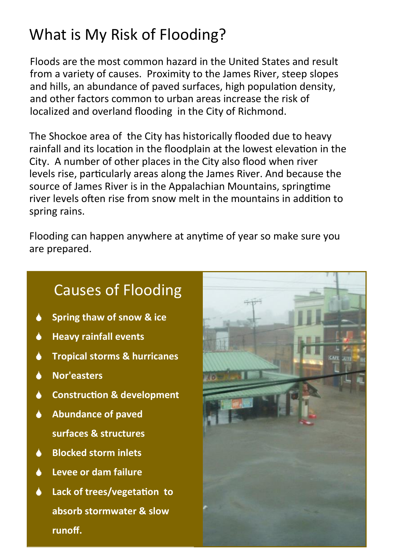# What is My Risk of Flooding?

Floods are the most common hazard in the United States and result from a variety of causes. Proximity to the James River, steep slopes and hills, an abundance of paved surfaces, high population density, and other factors common to urban areas increase the risk of localized and overland flooding in the City of Richmond.

The Shockoe area of the City has historically flooded due to heavy rainfall and its location in the floodplain at the lowest elevation in the City. A number of other places in the City also flood when river levels rise, particularly areas along the James River. And because the source of James River is in the Appalachian Mountains, springtime river levels often rise from snow melt in the mountains in addition to spring rains.

Flooding can happen anywhere at anytime of year so make sure you are prepared.

### Causes of Flooding

- **Spring thaw of snow & ice** ۸
- ٠ **Heavy rainfall events**
- **Tropical storms & hurricanes** ۸
- **Nor'easters**  ▲
- **Construction & development** ۸
- **Abundance of paved surfaces & structures**
- **Blocked storm inlets** A
- **Levee or dam failure**
- **Lack of trees/vegetation to absorb stormwater & slow runoff.**

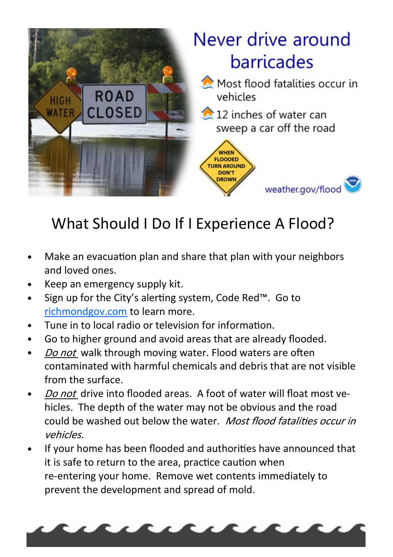

# What Should I Do If I Experience A Flood?

- Make an evacuation plan and share that plan with your neighbors  $\bullet$ and loved ones.
- Keep an emergency supply kit.
- Sign up for the City's alerting system, Code Red™. Go to <richmondgov.com> to learn more.
- Tune in to local radio or television for information.
- Go to higher ground and avoid areas that are already flooded.  $\bullet$
- Do not walk through moving water. Flood waters are often  $\bullet$ contaminated with harmful chemicals and debris that are not visible from the surface.
- Do not drive into flooded areas. A foot of water will float most vehicles. The depth of the water may not be obvious and the road could be washed out below the water. Most flood fatalities occur in vehicles.
- If your home has been flooded and authorities have announced that it is safe to return to the area, practice caution when re-entering your home. Remove wet contents immediately to prevent the development and spread of mold.